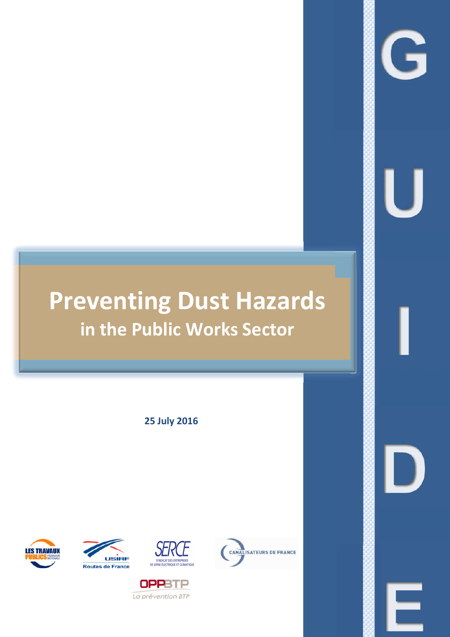# **Preventing Dust Hazards in the Public Works Sector**

**25 July 2016**







**OPPBTP** La prévention BTP



G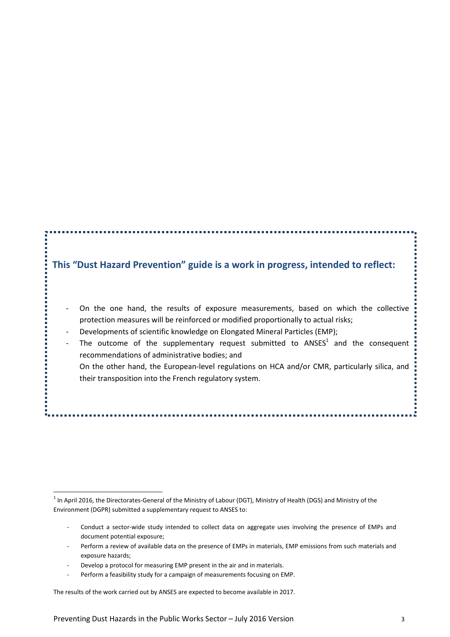## **This "Dust Hazard Prevention" guide is a work in progress, intended to reflect:**

- On the one hand, the results of exposure measurements, based on which the collective protection measures will be reinforced or modified proportionally to actual risks;
- Developments of scientific knowledge on Elongated Mineral Particles (EMP);

- The outcome of the supplementary request submitted to  $ANSES<sup>1</sup>$  and the consequent recommendations of administrative bodies; and On the other hand, the European-level regulations on HCA and/or CMR, particularly silica, and
	- their transposition into the French regulatory system.

- Conduct a sector-wide study intended to collect data on aggregate uses involving the presence of EMPs and document potential exposure;
- Perform a review of available data on the presence of EMPs in materials, EMP emissions from such materials and exposure hazards;
- Develop a protocol for measuring EMP present in the air and in materials.
- Perform a feasibility study for a campaign of measurements focusing on EMP.

The results of the work carried out by ANSES are expected to become available in 2017.

 $1$  In April 2016, the Directorates-General of the Ministry of Labour (DGT), Ministry of Health (DGS) and Ministry of the Environment (DGPR) submitted a supplementary request to ANSES to: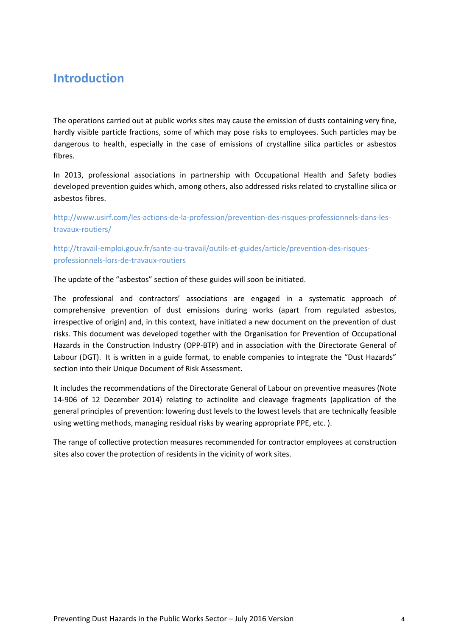# **Introduction**

The operations carried out at public works sites may cause the emission of dusts containing very fine, hardly visible particle fractions, some of which may pose risks to employees. Such particles may be dangerous to health, especially in the case of emissions of crystalline silica particles or asbestos fibres.

In 2013, professional associations in partnership with Occupational Health and Safety bodies developed prevention guides which, among others, also addressed risks related to crystalline silica or asbestos fibres.

http://www.usirf.com/les-actions-de-la-profession/prevention-des-risques-professionnels-dans-lestravaux-routiers/

http://travail-emploi.gouv.fr/sante-au-travail/outils-et-guides/article/prevention-des-risquesprofessionnels-lors-de-travaux-routiers

The update of the "asbestos" section of these guides will soon be initiated.

The professional and contractors' associations are engaged in a systematic approach of comprehensive prevention of dust emissions during works (apart from regulated asbestos, irrespective of origin) and, in this context, have initiated a new document on the prevention of dust risks. This document was developed together with the Organisation for Prevention of Occupational Hazards in the Construction Industry (OPP-BTP) and in association with the Directorate General of Labour (DGT). It is written in a guide format, to enable companies to integrate the "Dust Hazards" section into their Unique Document of Risk Assessment.

It includes the recommendations of the Directorate General of Labour on preventive measures (Note 14-906 of 12 December 2014) relating to actinolite and cleavage fragments (application of the general principles of prevention: lowering dust levels to the lowest levels that are technically feasible using wetting methods, managing residual risks by wearing appropriate PPE, etc. ).

The range of collective protection measures recommended for contractor employees at construction sites also cover the protection of residents in the vicinity of work sites.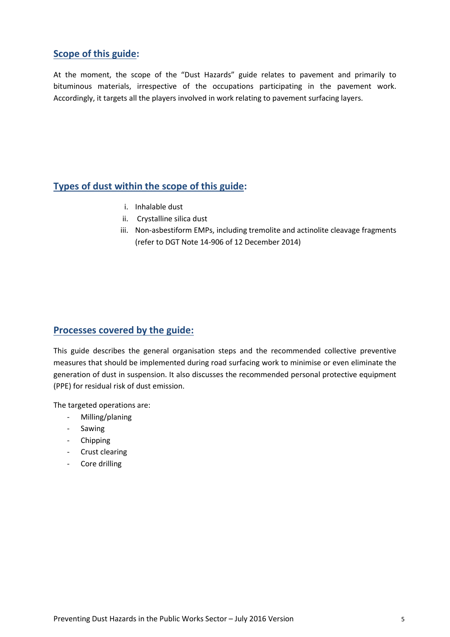## **Scope of this guide:**

At the moment, the scope of the "Dust Hazards" guide relates to pavement and primarily to bituminous materials, irrespective of the occupations participating in the pavement work. Accordingly, it targets all the players involved in work relating to pavement surfacing layers.

## **Types of dust within the scope of this guide:**

- i. Inhalable dust
- ii. Crystalline silica dust
- iii. Non-asbestiform EMPs, including tremolite and actinolite cleavage fragments (refer to DGT Note 14-906 of 12 December 2014)

## **Processes covered by the guide:**

This guide describes the general organisation steps and the recommended collective preventive measures that should be implemented during road surfacing work to minimise or even eliminate the generation of dust in suspension. It also discusses the recommended personal protective equipment (PPE) for residual risk of dust emission.

The targeted operations are:

- Milling/planing
- Sawing
- Chipping
- Crust clearing
- Core drilling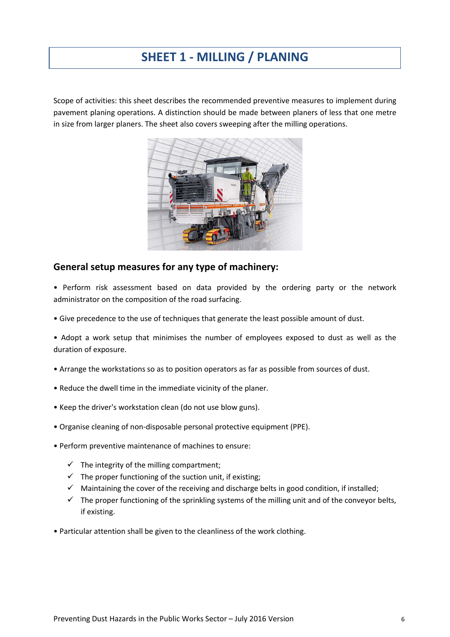# **SHEET 1 - MILLING / PLANING**

Scope of activities: this sheet describes the recommended preventive measures to implement during pavement planing operations. A distinction should be made between planers of less that one metre in size from larger planers. The sheet also covers sweeping after the milling operations.



## **General setup measures for any type of machinery:**

- Perform risk assessment based on data provided by the ordering party or the network administrator on the composition of the road surfacing.
- Give precedence to the use of techniques that generate the least possible amount of dust.
- Adopt a work setup that minimises the number of employees exposed to dust as well as the duration of exposure.
- Arrange the workstations so as to position operators as far as possible from sources of dust.
- Reduce the dwell time in the immediate vicinity of the planer.
- Keep the driver's workstation clean (do not use blow guns).
- Organise cleaning of non-disposable personal protective equipment (PPE).
- Perform preventive maintenance of machines to ensure:
	- $\checkmark$  The integrity of the milling compartment;
	- $\checkmark$  The proper functioning of the suction unit, if existing;
	- $\checkmark$  Maintaining the cover of the receiving and discharge belts in good condition, if installed;
	- $\checkmark$  The proper functioning of the sprinkling systems of the milling unit and of the conveyor belts, if existing.
- Particular attention shall be given to the cleanliness of the work clothing.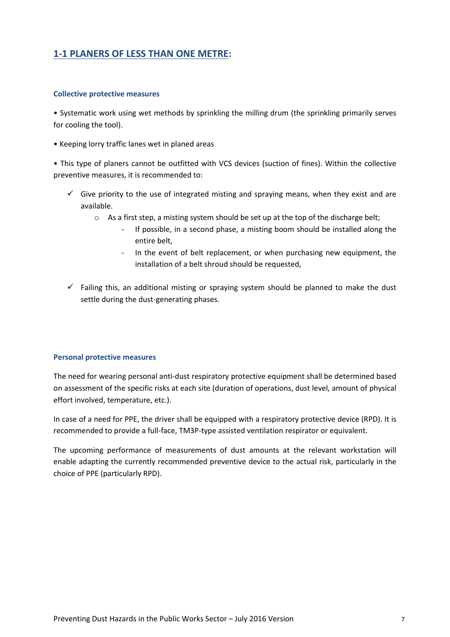## **1-1 PLANERS OF LESS THAN ONE METRE:**

#### **Collective protective measures**

• Systematic work using wet methods by sprinkling the milling drum (the sprinkling primarily serves for cooling the tool).

• Keeping lorry traffic lanes wet in planed areas

• This type of planers cannot be outfitted with VCS devices (suction of fines). Within the collective preventive measures, it is recommended to:

- $\checkmark$  Give priority to the use of integrated misting and spraying means, when they exist and are available.
	- o As a first step, a misting system should be set up at the top of the discharge belt;
		- If possible, in a second phase, a misting boom should be installed along the entire belt,
		- In the event of belt replacement, or when purchasing new equipment, the installation of a belt shroud should be requested,
- $\checkmark$  Failing this, an additional misting or spraying system should be planned to make the dust settle during the dust-generating phases.

## **Personal protective measures**

The need for wearing personal anti-dust respiratory protective equipment shall be determined based on assessment of the specific risks at each site (duration of operations, dust level, amount of physical effort involved, temperature, etc.).

In case of a need for PPE, the driver shall be equipped with a respiratory protective device (RPD). It is recommended to provide a full-face, TM3P-type assisted ventilation respirator or equivalent.

The upcoming performance of measurements of dust amounts at the relevant workstation will enable adapting the currently recommended preventive device to the actual risk, particularly in the choice of PPE (particularly RPD).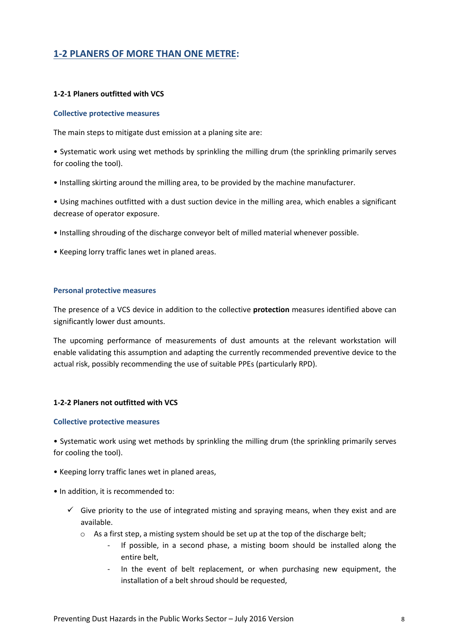## **1-2 PLANERS OF MORE THAN ONE METRE:**

#### **1-2-1 Planers outfitted with VCS**

#### **Collective protective measures**

The main steps to mitigate dust emission at a planing site are:

• Systematic work using wet methods by sprinkling the milling drum (the sprinkling primarily serves for cooling the tool).

• Installing skirting around the milling area, to be provided by the machine manufacturer.

• Using machines outfitted with a dust suction device in the milling area, which enables a significant decrease of operator exposure.

- Installing shrouding of the discharge conveyor belt of milled material whenever possible.
- Keeping lorry traffic lanes wet in planed areas.

#### **Personal protective measures**

The presence of a VCS device in addition to the collective **protection** measures identified above can significantly lower dust amounts.

The upcoming performance of measurements of dust amounts at the relevant workstation will enable validating this assumption and adapting the currently recommended preventive device to the actual risk, possibly recommending the use of suitable PPEs (particularly RPD).

#### **1-2-2 Planers not outfitted with VCS**

#### **Collective protective measures**

• Systematic work using wet methods by sprinkling the milling drum (the sprinkling primarily serves for cooling the tool).

- Keeping lorry traffic lanes wet in planed areas,
- In addition, it is recommended to:
	- $\checkmark$  Give priority to the use of integrated misting and spraying means, when they exist and are available.
		- $\circ$  As a first step, a misting system should be set up at the top of the discharge belt;
			- If possible, in a second phase, a misting boom should be installed along the entire belt,
			- In the event of belt replacement, or when purchasing new equipment, the installation of a belt shroud should be requested,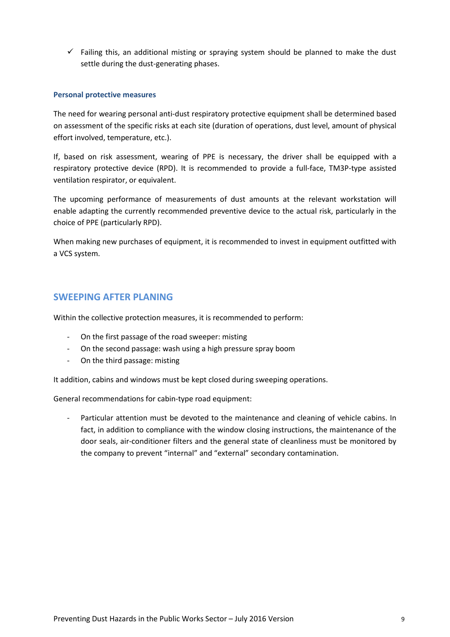$\checkmark$  Failing this, an additional misting or spraying system should be planned to make the dust settle during the dust-generating phases.

## **Personal protective measures**

The need for wearing personal anti-dust respiratory protective equipment shall be determined based on assessment of the specific risks at each site (duration of operations, dust level, amount of physical effort involved, temperature, etc.).

If, based on risk assessment, wearing of PPE is necessary, the driver shall be equipped with a respiratory protective device (RPD). It is recommended to provide a full-face, TM3P-type assisted ventilation respirator, or equivalent.

The upcoming performance of measurements of dust amounts at the relevant workstation will enable adapting the currently recommended preventive device to the actual risk, particularly in the choice of PPE (particularly RPD).

When making new purchases of equipment, it is recommended to invest in equipment outfitted with a VCS system.

## **SWEEPING AFTER PLANING**

Within the collective protection measures, it is recommended to perform:

- On the first passage of the road sweeper: misting
- On the second passage: wash using a high pressure spray boom
- On the third passage: misting

It addition, cabins and windows must be kept closed during sweeping operations.

General recommendations for cabin-type road equipment: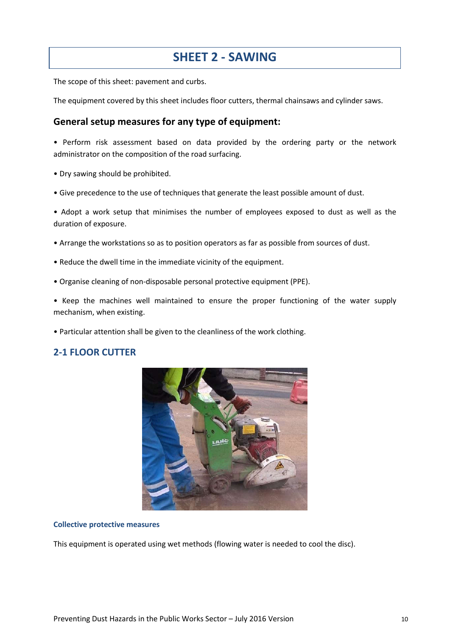## **SHEET 2 - SAWING**

The scope of this sheet: pavement and curbs.

The equipment covered by this sheet includes floor cutters, thermal chainsaws and cylinder saws.

## **General setup measures for any type of equipment:**

• Perform risk assessment based on data provided by the ordering party or the network administrator on the composition of the road surfacing.

- Dry sawing should be prohibited.
- Give precedence to the use of techniques that generate the least possible amount of dust.

• Adopt a work setup that minimises the number of employees exposed to dust as well as the duration of exposure.

- Arrange the workstations so as to position operators as far as possible from sources of dust.
- Reduce the dwell time in the immediate vicinity of the equipment.
- Organise cleaning of non-disposable personal protective equipment (PPE).

• Keep the machines well maintained to ensure the proper functioning of the water supply mechanism, when existing.

• Particular attention shall be given to the cleanliness of the work clothing.

## **2-1 FLOOR CUTTER**



#### **Collective protective measures**

This equipment is operated using wet methods (flowing water is needed to cool the disc).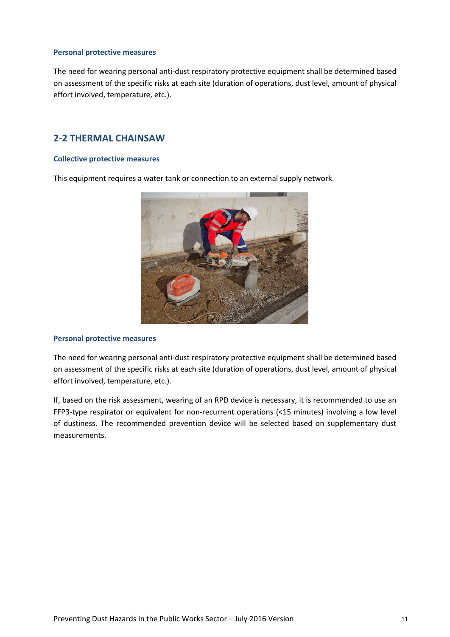#### **Personal protective measures**

The need for wearing personal anti-dust respiratory protective equipment shall be determined based on assessment of the specific risks at each site (duration of operations, dust level, amount of physical effort involved, temperature, etc.).

## **2-2 THERMAL CHAINSAW**

#### **Collective protective measures**

This equipment requires a water tank or connection to an external supply network.



#### **Personal protective measures**

The need for wearing personal anti-dust respiratory protective equipment shall be determined based on assessment of the specific risks at each site (duration of operations, dust level, amount of physical effort involved, temperature, etc.).

If, based on the risk assessment, wearing of an RPD device is necessary, it is recommended to use an FFP3-type respirator or equivalent for non-recurrent operations (<15 minutes) involving a low level of dustiness. The recommended prevention device will be selected based on supplementary dust measurements.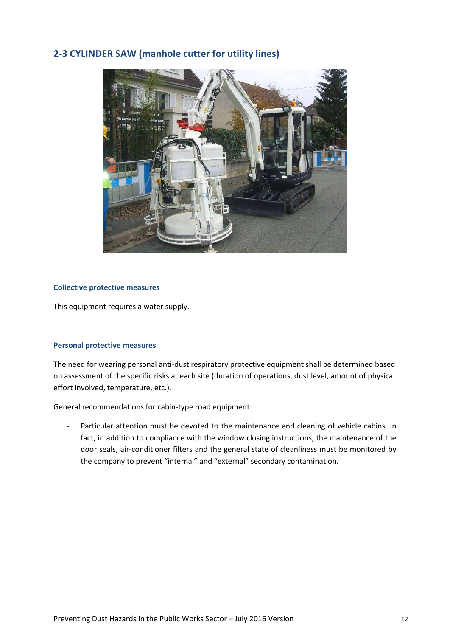## **2-3 CYLINDER SAW (manhole cutter for utility lines)**



## **Collective protective measures**

This equipment requires a water supply.

#### **Personal protective measures**

The need for wearing personal anti-dust respiratory protective equipment shall be determined based on assessment of the specific risks at each site (duration of operations, dust level, amount of physical effort involved, temperature, etc.).

General recommendations for cabin-type road equipment: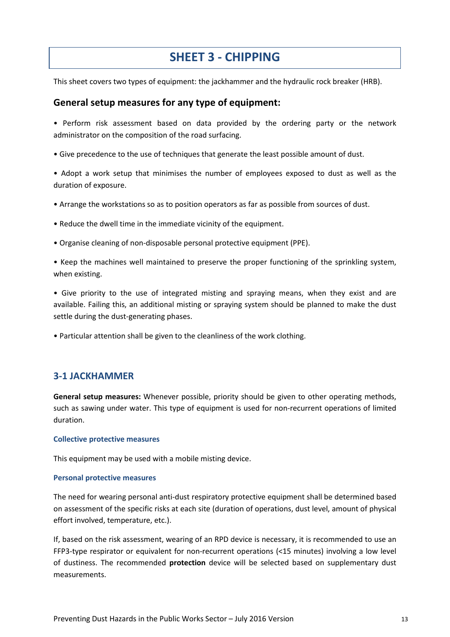# **SHEET 3 - CHIPPING**

This sheet covers two types of equipment: the jackhammer and the hydraulic rock breaker (HRB).

## **General setup measures for any type of equipment:**

• Perform risk assessment based on data provided by the ordering party or the network administrator on the composition of the road surfacing.

• Give precedence to the use of techniques that generate the least possible amount of dust.

• Adopt a work setup that minimises the number of employees exposed to dust as well as the duration of exposure.

- Arrange the workstations so as to position operators as far as possible from sources of dust.
- Reduce the dwell time in the immediate vicinity of the equipment.
- Organise cleaning of non-disposable personal protective equipment (PPE).
- Keep the machines well maintained to preserve the proper functioning of the sprinkling system, when existing.

• Give priority to the use of integrated misting and spraying means, when they exist and are available. Failing this, an additional misting or spraying system should be planned to make the dust settle during the dust-generating phases.

• Particular attention shall be given to the cleanliness of the work clothing.

## **3-1 JACKHAMMER**

**General setup measures:** Whenever possible, priority should be given to other operating methods, such as sawing under water. This type of equipment is used for non-recurrent operations of limited duration.

#### **Collective protective measures**

This equipment may be used with a mobile misting device.

#### **Personal protective measures**

The need for wearing personal anti-dust respiratory protective equipment shall be determined based on assessment of the specific risks at each site (duration of operations, dust level, amount of physical effort involved, temperature, etc.).

If, based on the risk assessment, wearing of an RPD device is necessary, it is recommended to use an FFP3-type respirator or equivalent for non-recurrent operations (<15 minutes) involving a low level of dustiness. The recommended **protection** device will be selected based on supplementary dust measurements.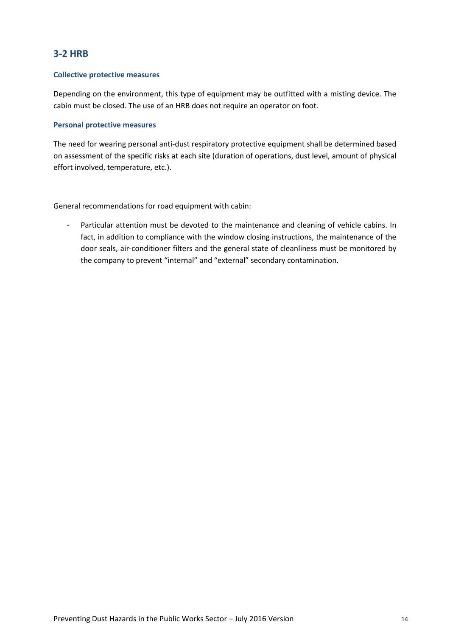## **3-2 HRB**

## **Collective protective measures**

Depending on the environment, this type of equipment may be outfitted with a misting device. The cabin must be closed. The use of an HRB does not require an operator on foot.

#### **Personal protective measures**

The need for wearing personal anti-dust respiratory protective equipment shall be determined based on assessment of the specific risks at each site (duration of operations, dust level, amount of physical effort involved, temperature, etc.).

General recommendations for road equipment with cabin: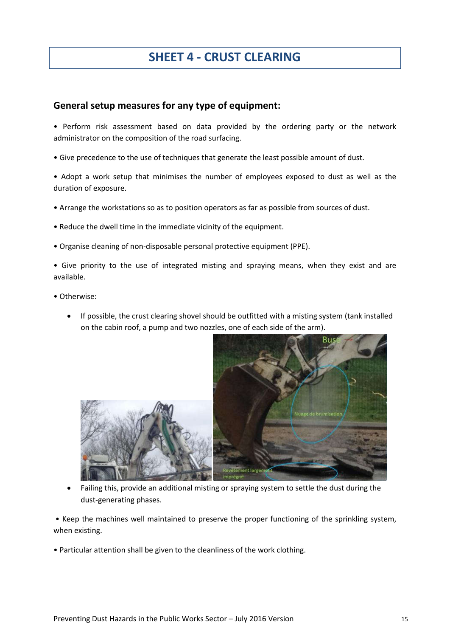# **SHEET 4 - CRUST CLEARING**

## **General setup measures for any type of equipment:**

• Perform risk assessment based on data provided by the ordering party or the network administrator on the composition of the road surfacing.

• Give precedence to the use of techniques that generate the least possible amount of dust.

• Adopt a work setup that minimises the number of employees exposed to dust as well as the duration of exposure.

- Arrange the workstations so as to position operators as far as possible from sources of dust.
- Reduce the dwell time in the immediate vicinity of the equipment.
- Organise cleaning of non-disposable personal protective equipment (PPE).
- Give priority to the use of integrated misting and spraying means, when they exist and are available.
- Otherwise:
	- If possible, the crust clearing shovel should be outfitted with a misting system (tank installed on the cabin roof, a pump and two nozzles, one of each side of the arm).



 Failing this, provide an additional misting or spraying system to settle the dust during the dust-generating phases.

• Keep the machines well maintained to preserve the proper functioning of the sprinkling system, when existing.

• Particular attention shall be given to the cleanliness of the work clothing.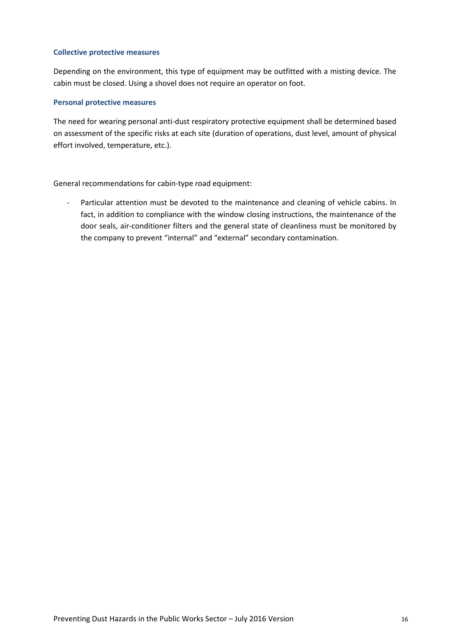## **Collective protective measures**

Depending on the environment, this type of equipment may be outfitted with a misting device. The cabin must be closed. Using a shovel does not require an operator on foot.

## **Personal protective measures**

The need for wearing personal anti-dust respiratory protective equipment shall be determined based on assessment of the specific risks at each site (duration of operations, dust level, amount of physical effort involved, temperature, etc.).

General recommendations for cabin-type road equipment: